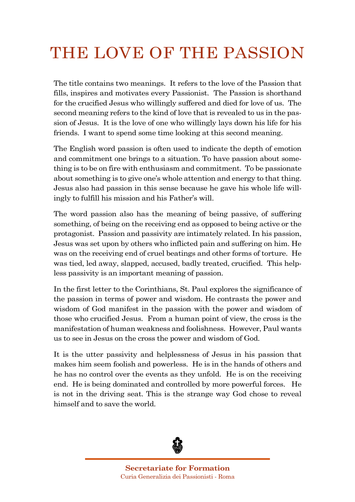## THE LOVE OF THE PASSION

The title contains two meanings. It refers to the love of the Passion that fills, inspires and motivates every Passionist. The Passion is shorthand for the crucified Jesus who willingly suffered and died for love of us. The second meaning refers to the kind of love that is revealed to us in the passion of Jesus. It is the love of one who willingly lays down his life for his friends. I want to spend some time looking at this second meaning.

The English word passion is often used to indicate the depth of emotion and commitment one brings to a situation. To have passion about something is to be on fire with enthusiasm and commitment. To be passionate about something is to give one's whole attention and energy to that thing. Jesus also had passion in this sense because he gave his whole life willingly to fulfill his mission and his Father's will.

The word passion also has the meaning of being passive, of suffering something, of being on the receiving end as opposed to being active or the protagonist. Passion and passivity are intimately related. In his passion, Jesus was set upon by others who inflicted pain and suffering on him. He was on the receiving end of cruel beatings and other forms of torture. He was tied, led away, slapped, accused, badly treated, crucified. This helpless passivity is an important meaning of passion.

In the first letter to the Corinthians, St. Paul explores the significance of the passion in terms of power and wisdom. He contrasts the power and wisdom of God manifest in the passion with the power and wisdom of those who crucified Jesus. From a human point of view, the cross is the manifestation of human weakness and foolishness. However, Paul wants us to see in Jesus on the cross the power and wisdom of God.

It is the utter passivity and helplessness of Jesus in his passion that makes him seem foolish and powerless. He is in the hands of others and he has no control over the events as they unfold. He is on the receiving end. He is being dominated and controlled by more powerful forces. He is not in the driving seat. This is the strange way God chose to reveal himself and to save the world.

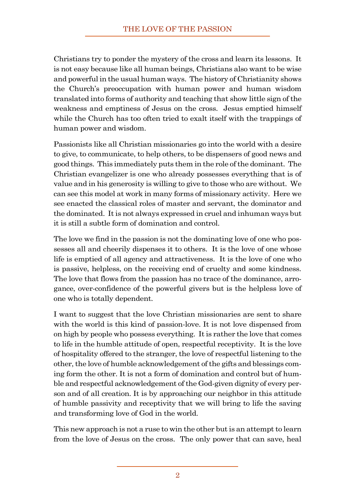Christians try to ponder the mystery of the cross and learn its lessons. It is not easy because like all human beings, Christians also want to be wise and powerful in the usual human ways. The history of Christianity shows the Church's preoccupation with human power and human wisdom translated into forms of authority and teaching that show little sign of the weakness and emptiness of Jesus on the cross. Jesus emptied himself while the Church has too often tried to exalt itself with the trappings of human power and wisdom.

Passionists like all Christian missionaries go into the world with a desire to give, to communicate, to help others, to be dispensers of good news and good things. This immediately puts them in the role of the dominant. The Christian evangelizer is one who already possesses everything that is of value and in his generosity is willing to give to those who are without. We can see this model at work in many forms of missionary activity. Here we see enacted the classical roles of master and servant, the dominator and the dominated. Itis not always expressed in cruel and inhuman ways but it is still a subtle form of domination and control.

The love we find in the passion is not the dominating love of one who possesses all and cheerily dispenses it to others. It is the love of one whose life is emptied of all agency and attractiveness. It is the love of one who is passive, helpless, on the receiving end of cruelty and some kindness. The love that flows from the passion has no trace of the dominance, arrogance, over-confidence of the powerful givers but is the helpless love of one who is totally dependent.

I want to suggest that the love Christian missionaries are sent to share with the world is this kind of passion-love. It is not love dispensed from on high by people who possess everything. It is rather the love that comes to life in the humble attitude of open, respectful receptivity. It is the love of hospitality offered to the stranger, the love of respectful listening to the other, the love of humble acknowledgement of the gifts and blessings coming form the other. It is not a form of domination and control but of humble and respectful acknowledgement of the God-given dignity of every person and of all creation. It is by approaching our neighbor in this attitude of humble passivity and receptivity that we will bring to life the saving and transforming love of God in the world.

This new approach is not a ruse to win the other but is an attempt to learn from the love of Jesus on the cross. The only power that can save, heal